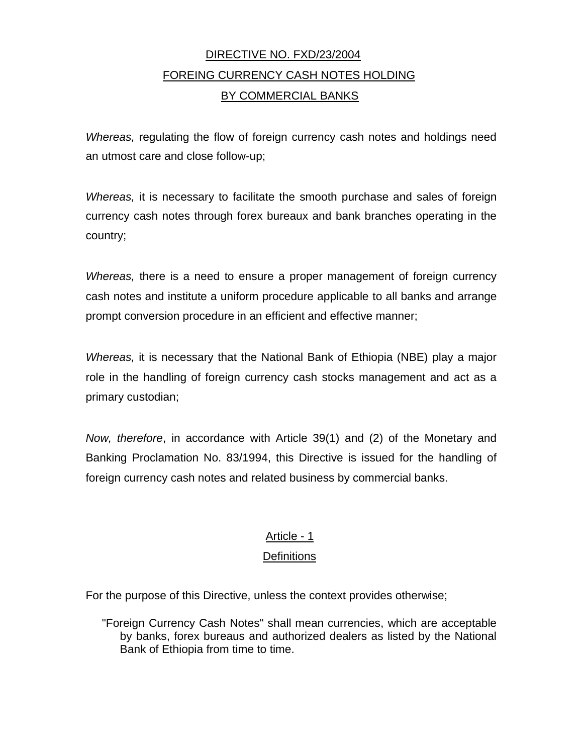# DIRECTIVE NO. FXD/23/2004 FOREING CURRENCY CASH NOTES HOLDING BY COMMERCIAL BANKS

*Whereas,* regulating the flow of foreign currency cash notes and holdings need an utmost care and close follow-up;

*Whereas,* it is necessary to facilitate the smooth purchase and sales of foreign currency cash notes through forex bureaux and bank branches operating in the country;

*Whereas,* there is a need to ensure a proper management of foreign currency cash notes and institute a uniform procedure applicable to all banks and arrange prompt conversion procedure in an efficient and effective manner;

*Whereas,* it is necessary that the National Bank of Ethiopia (NBE) play a major role in the handling of foreign currency cash stocks management and act as a primary custodian;

*Now, therefore*, in accordance with Article 39(1) and (2) of the Monetary and Banking Proclamation No. 83/1994, this Directive is issued for the handling of foreign currency cash notes and related business by commercial banks.

# Article - 1

# **Definitions**

For the purpose of this Directive, unless the context provides otherwise;

"Foreign Currency Cash Notes" shall mean currencies, which are acceptable by banks, forex bureaus and authorized dealers as listed by the National Bank of Ethiopia from time to time.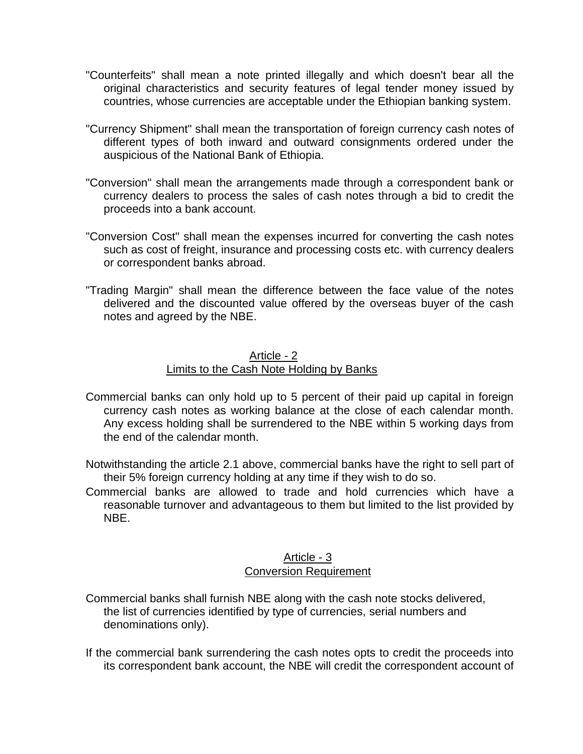- "Counterfeits" shall mean a note printed illegally and which doesn't bear all the original characteristics and security features of legal tender money issued by countries, whose currencies are acceptable under the Ethiopian banking system.
- "Currency Shipment" shall mean the transportation of foreign currency cash notes of different types of both inward and outward consignments ordered under the auspicious of the National Bank of Ethiopia.
- "Conversion" shall mean the arrangements made through a correspondent bank or currency dealers to process the sales of cash notes through a bid to credit the proceeds into a bank account.
- "Conversion Cost" shall mean the expenses incurred for converting the cash notes such as cost of freight, insurance and processing costs etc. with currency dealers or correspondent banks abroad.
- "Trading Margin" shall mean the difference between the face value of the notes delivered and the discounted value offered by the overseas buyer of the cash notes and agreed by the NBE.

#### Article - 2

# Limits to the Cash Note Holding by Banks

- Commercial banks can only hold up to 5 percent of their paid up capital in foreign currency cash notes as working balance at the close of each calendar month. Any excess holding shall be surrendered to the NBE within 5 working days from the end of the calendar month.
- Notwithstanding the article 2.1 above, commercial banks have the right to sell part of their 5% foreign currency holding at any time if they wish to do so.
- Commercial banks are allowed to trade and hold currencies which have a reasonable turnover and advantageous to them but limited to the list provided by NBE.

#### Article - 3 Conversion Requirement

- Commercial banks shall furnish NBE along with the cash note stocks delivered, the list of currencies identified by type of currencies, serial numbers and denominations only).
- If the commercial bank surrendering the cash notes opts to credit the proceeds into its correspondent bank account, the NBE will credit the correspondent account of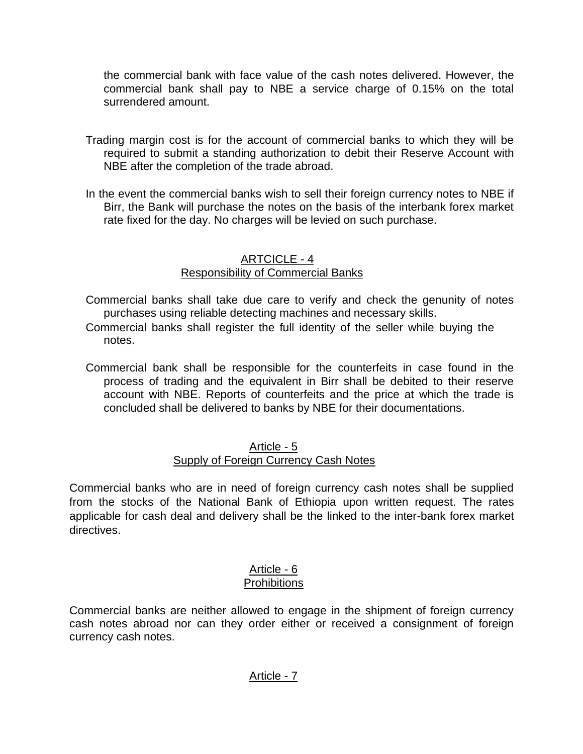the commercial bank with face value of the cash notes delivered. However, the commercial bank shall pay to NBE a service charge of 0.15% on the total surrendered amount.

- Trading margin cost is for the account of commercial banks to which they will be required to submit a standing authorization to debit their Reserve Account with NBE after the completion of the trade abroad.
- In the event the commercial banks wish to sell their foreign currency notes to NBE if Birr, the Bank will purchase the notes on the basis of the interbank forex market rate fixed for the day. No charges will be levied on such purchase.

### ARTCICLE - 4 Responsibility of Commercial Banks

- Commercial banks shall take due care to verify and check the genunity of notes purchases using reliable detecting machines and necessary skills.
- Commercial banks shall register the full identity of the seller while buying the notes.
- Commercial bank shall be responsible for the counterfeits in case found in the process of trading and the equivalent in Birr shall be debited to their reserve account with NBE. Reports of counterfeits and the price at which the trade is concluded shall be delivered to banks by NBE for their documentations.

#### Article - 5 Supply of Foreign Currency Cash Notes

Commercial banks who are in need of foreign currency cash notes shall be supplied from the stocks of the National Bank of Ethiopia upon written request. The rates applicable for cash deal and delivery shall be the linked to the inter-bank forex market directives.

#### Article - 6 **Prohibitions**

Commercial banks are neither allowed to engage in the shipment of foreign currency cash notes abroad nor can they order either or received a consignment of foreign currency cash notes.

# Article - 7